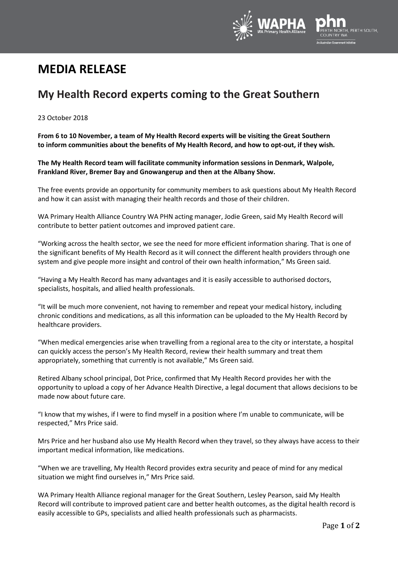

# **MEDIA RELEASE**

## **My Health Record experts coming to the Great Southern**

### 23 October 2018

**From 6 to 10 November, a team of My Health Record experts will be visiting the Great Southern to inform communities about the benefits of My Health Record, and how to opt-out, if they wish.**

**The My Health Record team will facilitate community information sessions in Denmark, Walpole, Frankland River, Bremer Bay and Gnowangerup and then at the Albany Show.**

The free events provide an opportunity for community members to ask questions about My Health Record and how it can assist with managing their health records and those of their children.

WA Primary Health Alliance Country WA PHN acting manager, Jodie Green, said My Health Record will contribute to better patient outcomes and improved patient care.

"Working across the health sector, we see the need for more efficient information sharing. That is one of the significant benefits of My Health Record as it will connect the different health providers through one system and give people more insight and control of their own health information," Ms Green said.

"Having a My Health Record has many advantages and it is easily accessible to authorised doctors, specialists, hospitals, and allied health professionals.

"It will be much more convenient, not having to remember and repeat your medical history, including chronic conditions and medications, as all this information can be uploaded to the My Health Record by healthcare providers.

"When medical emergencies arise when travelling from a regional area to the city or interstate, a hospital can quickly access the person's My Health Record, review their health summary and treat them appropriately, something that currently is not available," Ms Green said.

Retired Albany school principal, Dot Price, confirmed that My Health Record provides her with the opportunity to upload a copy of her Advance Health Directive, a legal document that allows decisions to be made now about future care.

"I know that my wishes, if I were to find myself in a position where I'm unable to communicate, will be respected," Mrs Price said.

Mrs Price and her husband also use My Health Record when they travel, so they always have access to their important medical information, like medications.

"When we are travelling, My Health Record provides extra security and peace of mind for any medical situation we might find ourselves in," Mrs Price said.

WA Primary Health Alliance regional manager for the Great Southern, Lesley Pearson, said My Health Record will contribute to improved patient care and better health outcomes, as the digital health record is easily accessible to GPs, specialists and allied health professionals such as pharmacists.